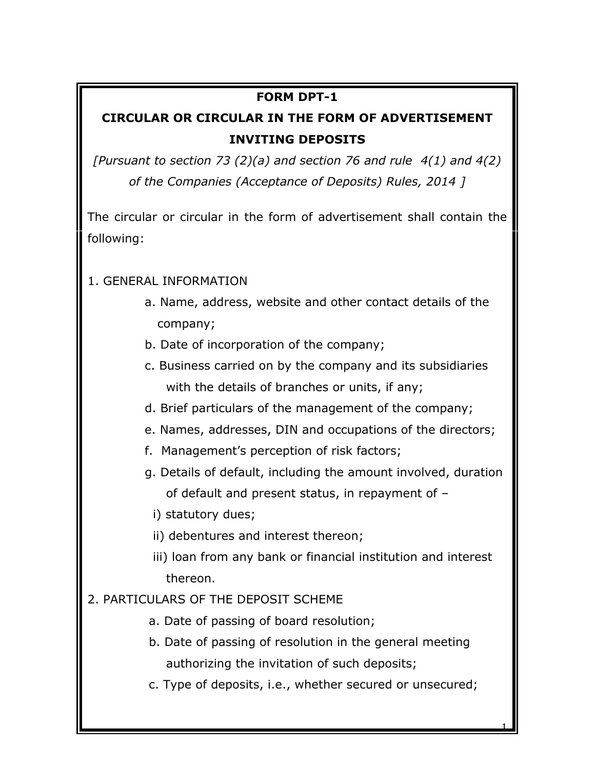## **FORM DPT-1**

## **CIRCULAR OR CIRCULAR IN THE FORM OF ADVERTISEMENT INVITING DEPOSITS**

*[Pursuant to section 73 (2)(a) and section 76 and rule 4(1) and 4(2) of the Companies (Acceptance of Deposits) Rules, 2014 ]*

The circular or circular in the form of advertisement shall contain the following:

## 1. GENERAL INFORMATION

- a. Name, address, website and other contact details of the company;
- b. Date of incorporation of the company;
- c. Business carried on by the company and its subsidiaries with the details of branches or units, if any;
- d. Brief particulars of the management of the company;
- e. Names, addresses, DIN and occupations of the directors;
- f. Management's perception of risk factors;
- g. Details of default, including the amount involved, duration of default and present status, in repayment of –

i) statutory dues;

- ii) debentures and interest thereon;
- iii) loan from any bank or financial institution and interest thereon.
- 2. PARTICULARS OF THE DEPOSIT SCHEME
	- a. Date of passing of board resolution;
	- b. Date of passing of resolution in the general meeting authorizing the invitation of such deposits;
	- c. Type of deposits, i.e., whether secured or unsecured;

1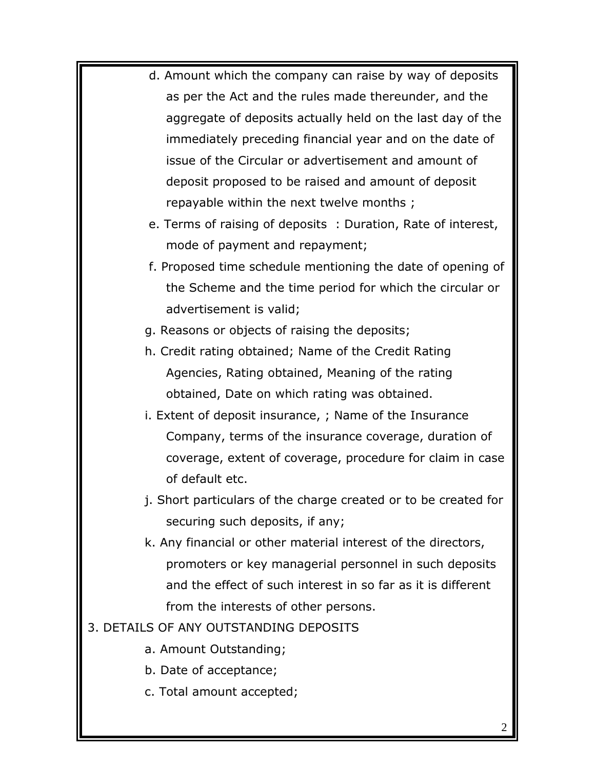- d. Amount which the company can raise by way of deposits as per the Act and the rules made thereunder, and the aggregate of deposits actually held on the last day of the immediately preceding financial year and on the date of issue of the Circular or advertisement and amount of deposit proposed to be raised and amount of deposit repayable within the next twelve months ;
- e. Terms of raising of deposits : Duration, Rate of interest, mode of payment and repayment;
- f. Proposed time schedule mentioning the date of opening of the Scheme and the time period for which the circular or advertisement is valid;
- g. Reasons or objects of raising the deposits;
- h. Credit rating obtained; Name of the Credit Rating Agencies, Rating obtained, Meaning of the rating obtained, Date on which rating was obtained.
- i. Extent of deposit insurance, ; Name of the Insurance Company, terms of the insurance coverage, duration of coverage, extent of coverage, procedure for claim in case of default etc.
- j. Short particulars of the charge created or to be created for securing such deposits, if any;
- k. Any financial or other material interest of the directors, promoters or key managerial personnel in such deposits and the effect of such interest in so far as it is different from the interests of other persons.
- 3. DETAILS OF ANY OUTSTANDING DEPOSITS
	- a. Amount Outstanding;
	- b. Date of acceptance;
	- c. Total amount accepted;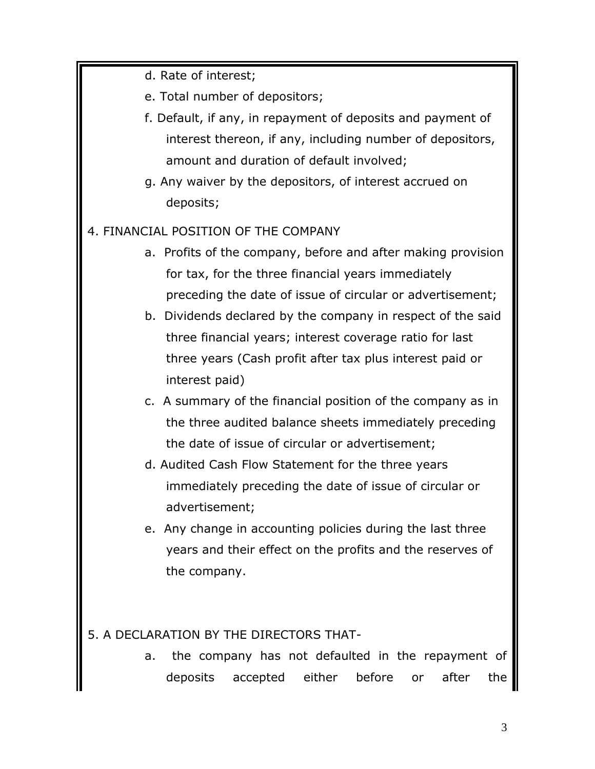d. Rate of interest;

e. Total number of depositors;

- f. Default, if any, in repayment of deposits and payment of interest thereon, if any, including number of depositors, amount and duration of default involved;
- g. Any waiver by the depositors, of interest accrued on deposits;
- 4. FINANCIAL POSITION OF THE COMPANY
	- a. Profits of the company, before and after making provision for tax, for the three financial years immediately preceding the date of issue of circular or advertisement;
	- b. Dividends declared by the company in respect of the said three financial years; interest coverage ratio for last three years (Cash profit after tax plus interest paid or interest paid)
	- c. A summary of the financial position of the company as in the three audited balance sheets immediately preceding the date of issue of circular or advertisement;
	- d. Audited Cash Flow Statement for the three years immediately preceding the date of issue of circular or advertisement;
	- e. Any change in accounting policies during the last three years and their effect on the profits and the reserves of the company.

## 5. A DECLARATION BY THE DIRECTORS THAT-

 a. the company has not defaulted in the repayment of deposits accepted either before or after the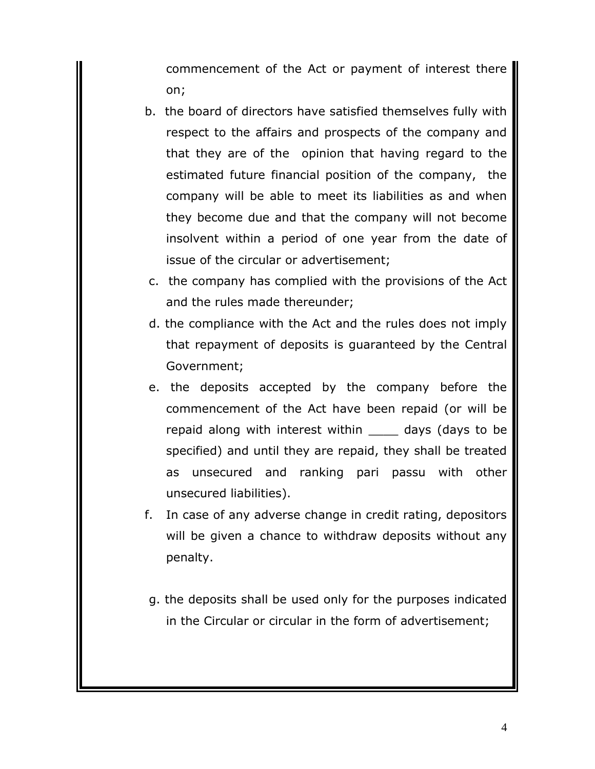commencement of the Act or payment of interest there on;

- b. the board of directors have satisfied themselves fully with respect to the affairs and prospects of the company and that they are of the opinion that having regard to the estimated future financial position of the company, the company will be able to meet its liabilities as and when they become due and that the company will not become insolvent within a period of one year from the date of issue of the circular or advertisement;
- c. the company has complied with the provisions of the Act and the rules made thereunder;
- d. the compliance with the Act and the rules does not imply that repayment of deposits is guaranteed by the Central Government;
- e. the deposits accepted by the company before the commencement of the Act have been repaid (or will be repaid along with interest within days (days to be specified) and until they are repaid, they shall be treated as unsecured and ranking pari passu with other unsecured liabilities).
- f. In case of any adverse change in credit rating, depositors will be given a chance to withdraw deposits without any penalty.
- g. the deposits shall be used only for the purposes indicated in the Circular or circular in the form of advertisement;